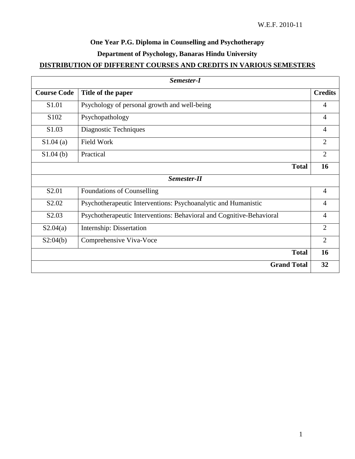# **One Year P.G. Diploma in Counselling and Psychotherapy Department of Psychology, Banaras Hindu University**

## **DISTRIBUTION OF DIFFERENT COURSES AND CREDITS IN VARIOUS SEMESTERS**

| Semester-I         |                                                                      |                |
|--------------------|----------------------------------------------------------------------|----------------|
| <b>Course Code</b> | Title of the paper                                                   | <b>Credits</b> |
| S1.01              | Psychology of personal growth and well-being                         | 4              |
| S102               | Psychopathology                                                      | $\overline{4}$ |
| S1.03              | Diagnostic Techniques                                                | $\overline{4}$ |
| S1.04(a)           | <b>Field Work</b>                                                    | $\overline{2}$ |
| $S1.04$ (b)        | Practical                                                            | $\overline{2}$ |
|                    | <b>Total</b>                                                         | 16             |
| Semester-II        |                                                                      |                |
| S2.01              | Foundations of Counselling                                           | $\overline{4}$ |
| S <sub>2.02</sub>  | Psychotherapeutic Interventions: Psychoanalytic and Humanistic       | $\overline{4}$ |
| S <sub>2.03</sub>  | Psychotherapeutic Interventions: Behavioral and Cognitive-Behavioral | $\overline{4}$ |
| S2.04(a)           | Internship: Dissertation                                             | $\overline{2}$ |
| S2:04(b)           | Comprehensive Viva-Voce                                              | $\overline{2}$ |
|                    | <b>Total</b>                                                         | 16             |
|                    | <b>Grand Total</b>                                                   | 32             |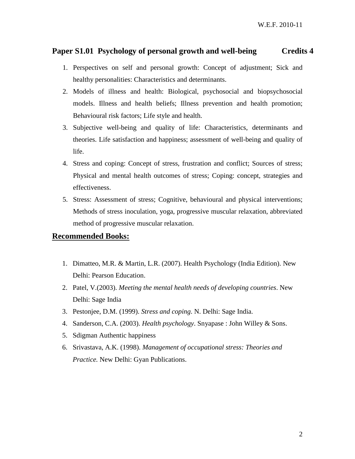### **Paper S1.01 Psychology of personal growth and well-being Credits 4**

- 1. Perspectives on self and personal growth: Concept of adjustment; Sick and healthy personalities: Characteristics and determinants.
- 2. Models of illness and health: Biological, psychosocial and biopsychosocial models. Illness and health beliefs; Illness prevention and health promotion; Behavioural risk factors; Life style and health.
- 3. Subjective well-being and quality of life: Characteristics, determinants and theories. Life satisfaction and happiness; assessment of well-being and quality of life.
- 4. Stress and coping: Concept of stress, frustration and conflict; Sources of stress; Physical and mental health outcomes of stress; Coping: concept, strategies and effectiveness.
- 5. Stress: Assessment of stress; Cognitive, behavioural and physical interventions; Methods of stress inoculation, yoga, progressive muscular relaxation, abbreviated method of progressive muscular relaxation.

- 1. Dimatteo, M.R. & Martin, L.R. (2007). Health Psychology (India Edition). New Delhi: Pearson Education.
- 2. Patel, V.(2003). *Meeting the mental health needs of developing countries*. New Delhi: Sage India
- 3. Pestonjee, D.M. (1999). *Stress and coping*. N. Delhi: Sage India.
- 4. Sanderson, C.A. (2003). *Health psychology*. Snyapase : John Willey & Sons.
- 5. Sdigman Authentic happiness
- 6. Srivastava, A.K. (1998). *Management of occupational stress: Theories and Practice.* New Delhi: Gyan Publications.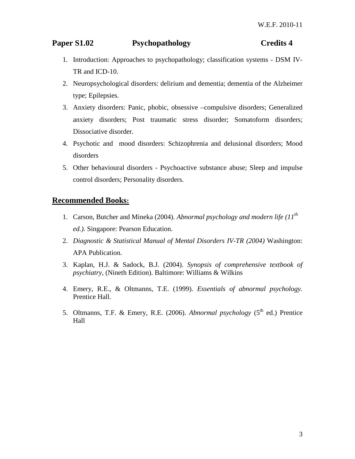## **Paper S1.02** Psychopathology **Credits 4**

- 1. Introduction: Approaches to psychopathology; classification systems DSM IV-TR and ICD-10.
- 2. Neuropsychological disorders: delirium and dementia; dementia of the Alzheimer type; Epilepsies.
- 3. Anxiety disorders: Panic, phobic, obsessive –compulsive disorders; Generalized anxiety disorders; Post traumatic stress disorder; Somatoform disorders; Dissociative disorder.
- 4. Psychotic and mood disorders: Schizophrenia and delusional disorders; Mood disorders
- 5. Other behavioural disorders Psychoactive substance abuse; Sleep and impulse control disorders; Personality disorders.

- 1. Carson, Butcher and Mineka (2004). *Abnormal psychology and modern life (11th ed.).* Singapore: Pearson Education.
- 2. *Diagnostic & Statistical Manual of Mental Disorders IV-TR (2004)* Washington: APA Publication.
- 3. Kaplan, H.J. & Sadock, B.J. (2004). *Synopsis of comprehensive textbook of psychiatry*, (Nineth Edition). Baltimore: Williams & Wilkins
- 4. Emery, R.E., & Oltmanns, T.E. (1999). *Essentials of abnormal psychology.*  Prentice Hall.
- 5. Oltmanns, T.F. & Emery, R.E. (2006). *Abnormal psychology* (5th ed.) Prentice Hall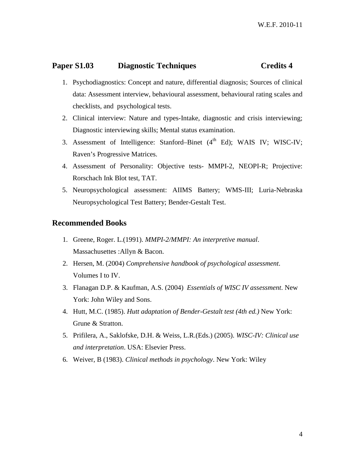### **Paper S1.03** Diagnostic Techniques Credits 4

- 1. Psychodiagnostics: Concept and nature, differential diagnosis; Sources of clinical data: Assessment interview, behavioural assessment, behavioural rating scales and checklists, and psychological tests.
- 2. Clinical interview: Nature and types-Intake, diagnostic and crisis interviewing; Diagnostic interviewing skills; Mental status examination.
- 3. Assessment of Intelligence: Stanford–Binet  $(4<sup>th</sup> Ed)$ ; WAIS IV; WISC-IV; Raven's Progressive Matrices.
- 4. Assessment of Personality: Objective tests- MMPI-2, NEOPI-R; Projective: Rorschach Ink Blot test, TAT.
- 5. Neuropsychological assessment: AIIMS Battery; WMS-III; Luria-Nebraska Neuropsychological Test Battery; Bender-Gestalt Test.

- 1. Greene, Roger. L.(1991). *MMPI-2/MMPI: An interpretive manual*. Massachusettes :Allyn & Bacon.
- 2. Hersen, M. (2004) *Comprehensive handbook of psychological assessment*. Volumes I to IV.
- 3. Flanagan D.P. & Kaufman, A.S. (2004) *Essentials of WISC IV assessment*. New York: John Wiley and Sons.
- 4. Hutt, M.C. (1985). *Hutt adaptation of Bender-Gestalt test (4th ed.)* New York: Grune & Stratton.
- 5. Prifilera, A., Saklofske, D.H. & Weiss, L.R.(Eds.) (2005). *WISC-IV: Clinical use and interpretation*. USA: Elsevier Press.
- 6. Weiver, B (1983). *Clinical methods in psychology*. New York: Wiley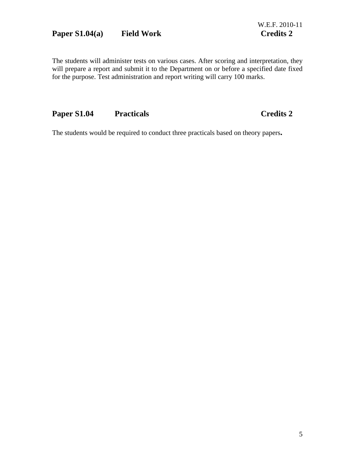## Paper S1.04(a) Field Work Credits 2

The students will administer tests on various cases. After scoring and interpretation, they will prepare a report and submit it to the Department on or before a specified date fixed for the purpose. Test administration and report writing will carry 100 marks.

## Paper S1.04 Practicals **Credits 2**

The students would be required to conduct three practicals based on theory papers**.**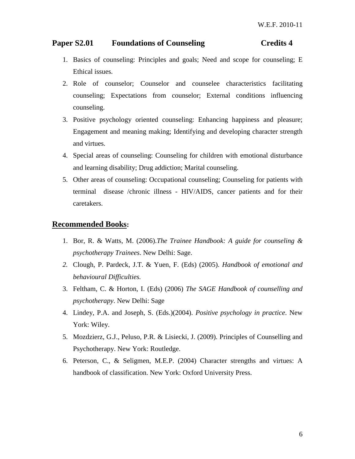## Paper S2.01 Foundations of Counseling Credits 4

- 1. Basics of counseling: Principles and goals; Need and scope for counseling; E Ethical issues.
- 2. Role of counselor; Counselor and counselee characteristics facilitating counseling; Expectations from counselor; External conditions influencing counseling.
- 3. Positive psychology oriented counseling: Enhancing happiness and pleasure; Engagement and meaning making; Identifying and developing character strength and virtues.
- 4. Special areas of counseling: Counseling for children with emotional disturbance and learning disability; Drug addiction; Marital counseling.
- 5. Other areas of counseling: Occupational counseling; Counseling for patients with terminal disease /chronic illness - HIV/AIDS, cancer patients and for their caretakers.

- 1. Bor, R. & Watts, M. (2006).*The Trainee Handbook: A guide for counseling & psychotherapy Trainees*. New Delhi: Sage.
- *2.* Clough, P. Pardeck, J.T. & Yuen, F. (Eds) (2005). *Handbook of emotional and behavioural Difficulties.*
- 3. Feltham, C. & Horton, I. (Eds) (2006) *The SAGE Handbook of counselling and psychotherapy*. New Delhi: Sage
- 4. Lindey, P.A. and Joseph, S. (Eds.)(2004). *Positive psychology in practice*. New York: Wiley.
- 5. Mozdzierz, G.J., Peluso, P.R. & Lisiecki, J. (2009). Principles of Counselling and Psychotherapy. New York: Routledge.
- 6. Peterson, C., & Seligmen, M.E.P. (2004) Character strengths and virtues: A handbook of classification. New York: Oxford University Press.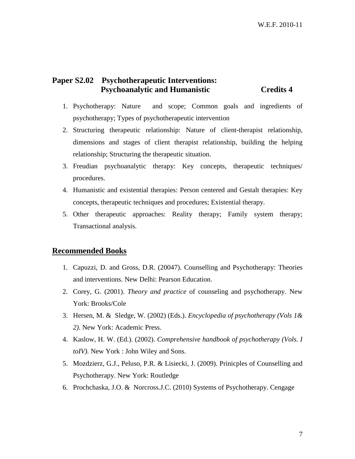### **Paper S2.02 Psychotherapeutic Interventions: Psychoanalytic and Humanistic Credits 4**

- 1. Psychotherapy: Nature and scope; Common goals and ingredients of psychotherapy; Types of psychotherapeutic intervention
- 2. Structuring therapeutic relationship: Nature of client-therapist relationship, dimensions and stages of client therapist relationship, building the helping relationship; Structuring the therapeutic situation.
- 3. Freudian psychoanalytic therapy: Key concepts, therapeutic techniques/ procedures.
- 4. Humanistic and existential therapies: Person centered and Gestalt therapies: Key concepts, therapeutic techniques and procedures; Existential therapy.
- 5. Other therapeutic approaches: Reality therapy; Family system therapy; Transactional analysis.

- 1. Capuzzi, D. and Gross, D.R. (20047). Counselling and Psychotherapy: Theories and interventions. New Delhi: Pearson Education.
- 2. Corey, G. (2001). *Theory and practice* of counseling and psychotherapy. New York: Brooks/Cole
- 3. Hersen, M. & Sledge, W. (2002) (Eds.). *Encyclopedia of psychotherapy (Vols 1& 2)*. New York: Academic Press.
- 4. Kaslow, H. W. (Ed.). (2002). *Comprehensive handbook of psychotherapy (Vols. I toIV).* New York : John Wiley and Sons.
- 5. Mozdzierz, G.J., Peluso, P.R. & Lisiecki, J. (2009). Prinicples of Counselling and Psychotherapy. New York: Routledge
- 6. Prochchaska, J.O. & Norcross.J.C. (2010) Systems of Psychotherapy. Cengage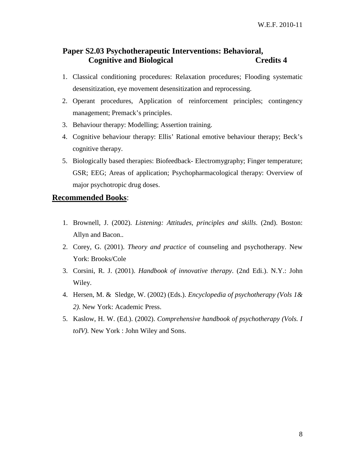### **Paper S2.03 Psychotherapeutic Interventions: Behavioral, Cognitive and Biological Credits 4**

- 1. Classical conditioning procedures: Relaxation procedures; Flooding systematic desensitization, eye movement desensitization and reprocessing.
- 2. Operant procedures, Application of reinforcement principles; contingency management; Premack's principles.
- 3. Behaviour therapy: Modelling; Assertion training.
- 4. Cognitive behaviour therapy: Ellis' Rational emotive behaviour therapy; Beck's cognitive therapy.
- 5. Biologically based therapies: Biofeedback- Electromygraphy; Finger temperature; GSR; EEG; Areas of application; Psychopharmacological therapy: Overview of major psychotropic drug doses.

- 1. Brownell, J. (2002). *Listening: Attitudes, principles and skills*. (2nd). Boston: Allyn and Bacon..
- 2. Corey, G. (2001). *Theory and practice* of counseling and psychotherapy. New York: Brooks/Cole
- 3. Corsini, R. J. (2001). *Handbook of innovative therapy*. (2nd Edi.). N.Y.: John Wiley.
- 4. Hersen, M. & Sledge, W. (2002) (Eds.). *Encyclopedia of psychotherapy (Vols 1& 2)*. New York: Academic Press.
- 5. Kaslow, H. W. (Ed.). (2002). *Comprehensive handbook of psychotherapy (Vols. I toIV).* New York : John Wiley and Sons.